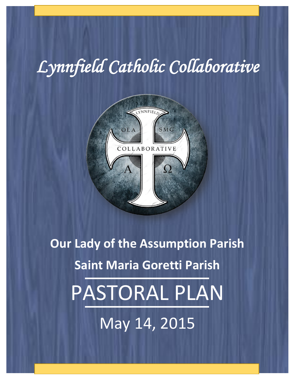# *Lynnfield Catholic Collaborative*



**Our Lady of the Assumption Parish**

# **Saint Maria Goretti Parish**

PASTORAL PLAN

May 14, 2015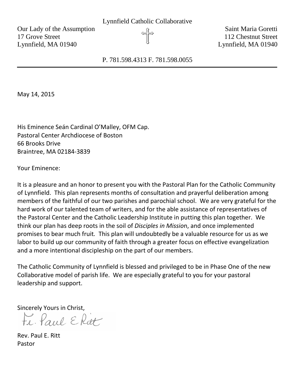Our Lady of the Assumption  $\theta$ 17 Grove Street 112 Chestnut Street Lynnfield, MA 01940 **Lynnfield**, MA 01940

P. 781.598.4313 F. 781.598.0055

May 14, 2015

His Eminence Seán Cardinal O'Malley, OFM Cap. Pastoral Center Archdiocese of Boston 66 Brooks Drive Braintree, MA 02184-3839

Your Eminence:

It is a pleasure and an honor to present you with the Pastoral Plan for the Catholic Community of Lynnfield. This plan represents months of consultation and prayerful deliberation among members of the faithful of our two parishes and parochial school. We are very grateful for the hard work of our talented team of writers, and for the able assistance of representatives of the Pastoral Center and the Catholic Leadership Institute in putting this plan together. We think our plan has deep roots in the soil of *Disciples in Missio*n, and once implemented promises to bear much fruit*.* This plan will undoubtedly be a valuable resource for us as we labor to build up our community of faith through a greater focus on effective evangelization and a more intentional discipleship on the part of our members.

The Catholic Community of Lynnfield is blessed and privileged to be in Phase One of the new Collaborative model of parish life. We are especially grateful to you for your pastoral leadership and support.

Sincerely Yours in Christ,<br> $FL \cdot \text{Paul } \in \text{Ritt}$ 

Rev. Paul E. Ritt Pastor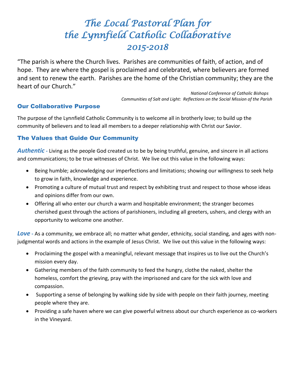# *The Local Pastoral Plan for the Lynnfield Catholic Collaborative 2015-2018*

"The parish is where the Church lives. Parishes are communities of faith, of action, and of hope. They are where the gospel is proclaimed and celebrated, where believers are formed and sent to renew the earth. Parishes are the home of the Christian community; they are the heart of our Church."

> *National Conference of Catholic Bishops Communities of Salt and Light: Reflections on the Social Mission of the Parish*

#### Our Collaborative Purpose

The purpose of the Lynnfield Catholic Community is to welcome all in brotherly love; to build up the community of believers and to lead all members to a deeper relationship with Christ our Savior.

#### The Values that Guide Our Community

*Authentic -* Living as the people God created us to be by being truthful, genuine, and sincere in all actions and communications; to be true witnesses of Christ. We live out this value in the following ways:

- Being humble; acknowledging our imperfections and limitations; showing our willingness to seek help to grow in faith, knowledge and experience.
- Promoting a culture of mutual trust and respect by exhibiting trust and respect to those whose ideas and opinions differ from our own.
- Offering all who enter our church a warm and hospitable environment; the stranger becomes cherished guest through the actions of parishioners, including all greeters, ushers, and clergy with an opportunity to welcome one another.

*Love* **-** As a community, we embrace all; no matter what gender, ethnicity, social standing, and ages with nonjudgmental words and actions in the example of Jesus Christ. We live out this value in the following ways:

- Proclaiming the gospel with a meaningful, relevant message that inspires us to live out the Church's mission every day.
- Gathering members of the faith community to feed the hungry, clothe the naked, shelter the homeless, comfort the grieving, pray with the imprisoned and care for the sick with love and compassion.
- Supporting a sense of belonging by walking side by side with people on their faith journey, meeting people where they are.
- Providing a safe haven where we can give powerful witness about our church experience as co-workers in the Vineyard.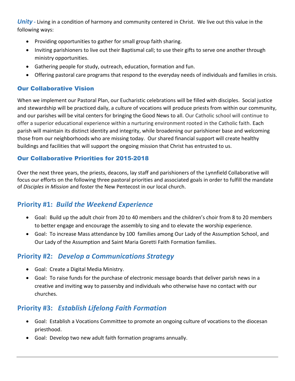*Unity* **-** Living in a condition of harmony and community centered in Christ. We live out this value in the following ways:

- Providing opportunities to gather for small group faith sharing.
- Inviting parishioners to live out their Baptismal call; to use their gifts to serve one another through ministry opportunities.
- Gathering people for study, outreach, education, formation and fun.
- Offering pastoral care programs that respond to the everyday needs of individuals and families in crisis.

#### Our Collaborative Vision

When we implement our Pastoral Plan, our Eucharistic celebrations will be filled with disciples. Social justice and stewardship will be practiced daily, a culture of vocations will produce priests from within our community, and our parishes will be vital centers for bringing the Good News to all. Our Catholic school will continue to offer a superior educational experience within a nurturing environment rooted in the Catholic faith. Each parish will maintain its distinct identity and integrity, while broadening our parishioner base and welcoming those from our neighborhoods who are missing today. Our shared financial support will create healthy buildings and facilities that will support the ongoing mission that Christ has entrusted to us.

#### Our Collaborative Priorities for 2015-2018

Over the next three years, the priests, deacons, lay staff and parishioners of the Lynnfield Collaborative will focus our efforts on the following three pastoral priorities and associated goals in order to fulfill the mandate of *Disciples in Mission* and foster the New Pentecost in our local church.

# **Priority #1:** *Build the Weekend Experience*

- Goal: Build up the adult choir from 20 to 40 members and the children's choir from 8 to 20 members to better engage and encourage the assembly to sing and to elevate the worship experience.
- Goal: To increase Mass attendance by 100 families among Our Lady of the Assumption School, and Our Lady of the Assumption and Saint Maria Goretti Faith Formation families.

# **Priority #2:** *Develop a Communications Strategy*

- Goal: Create a Digital Media Ministry.
- Goal: To raise funds for the purchase of electronic message boards that deliver parish news in a creative and inviting way to passersby and individuals who otherwise have no contact with our churches.

# **Priority #3:** *Establish Lifelong Faith Formation*

- Goal: Establish a Vocations Committee to promote an ongoing culture of vocations to the diocesan priesthood.
- Goal: Develop two new adult faith formation programs annually.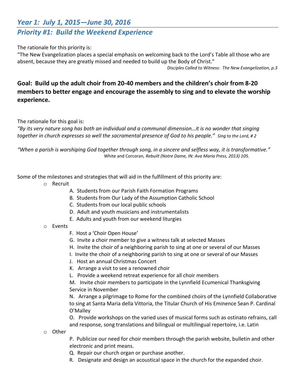# *Year 1: July 1, 2015—June 30, 2016 Priority #1: Build the Weekend Experience*

#### The rationale for this priority is:

"The New Evangelization places a special emphasis on welcoming back to the Lord's Table all those who are absent, because they are greatly missed and needed to build up the Body of Christ."

*Disciples Called to Witness: The New Evangelization, p.3*

## **Goal: Build up the adult choir from 20-40 members and the children's choir from 8-20 members to better engage and encourage the assembly to sing and to elevate the worship experience.**

The rationale for this goal is:

*"By its very nature song has both an individual and a communal dimension…it is no wonder that singing together in church expresses so well the sacramental presence of God to his people." Sing to the Lord, # 2*

*"When a parish is worshiping God together through song, in a sincere and selfless way, it is transformative."* White and Corcoran*, Rebuilt (Notre Dame, IN: Ava Maria Press, 2013) 105.*

Some of the milestones and strategies that will aid in the fulfillment of this priority are:

- o Recruit
	- A. Students from our Parish Faith Formation Programs
	- B. Students from Our Lady of the Assumption Catholic School
	- C. Students from our local public schools
	- D. Adult and youth musicians and instrumentalists
	- E. Adults and youth from our weekend liturgies
- o Events
	- F. Host a 'Choir Open House'
	- G. Invite a choir member to give a witness talk at selected Masses
	- H. Invite the choir of a neighboring parish to sing at one or several of our Masses
	- I. Invite the choir of a neighboring parish to sing at one or several of our Masses
	- J. Host an annual Christmas Concert
	- K. Arrange a visit to see a renowned choir
	- L. Provide a weekend retreat experience for all choir members

M. Invite choir members to participate in the Lynnfield Ecumenical Thanksgiving Service in November

N. Arrange a pilgrimage to Rome for the combined choirs of the Lynnfield Collaborative to sing at Santa Maria della Vittoria, the Titular Church of His Eminence Sean P. Cardinal O'Malley

O. Provide workshops on the varied uses of musical forms such as ostinato refrains, call and response, song translations and bilingual or multilingual repertoire, i.e. Latin

o Other

P. Publicize our need for choir members through the parish website, bulletin and other electronic and print means.

- Q. Repair our church organ or purchase another.
- R. Designate and design an acoustical space in the church for the expanded choir.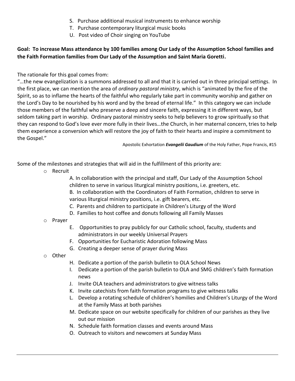- S. Purchase additional musical instruments to enhance worship
- T. Purchase contemporary liturgical music books
- U. Post video of Choir singing on YouTube

#### **Goal: To increase Mass attendance by 100 families among Our Lady of the Assumption School families and the Faith Formation families from Our Lady of the Assumption and Saint Maria Goretti.**

The rationale for this goal comes from:

"…the new evangelization is a summons addressed to all and that it is carried out in three principal settings. In the first place, we can mention the area of *ordinary pastoral ministry*, which is "animated by the fire of the Spirit, so as to inflame the hearts of the faithful who regularly take part in community worship and gather on the Lord's Day to be nourished by his word and by the bread of eternal life." In this category we can include those members of the faithful who preserve a deep and sincere faith, expressing it in different ways, but seldom taking part in worship. Ordinary pastoral ministry seeks to help believers to grow spiritually so that they can respond to God's love ever more fully in their lives…the Church, in her maternal concern, tries to help them experience a conversion which will restore the joy of faith to their hearts and inspire a commitment to the Gospel."

Apostolic Exhortation *Evangelii Gaudium* of the Holy Father, Pope Francis, #15

Some of the milestones and strategies that will aid in the fulfillment of this priority are:

o Recruit

A. In collaboration with the principal and staff, Our Lady of the Assumption School children to serve in various liturgical ministry positions, i.e. greeters, etc.

- B. In collaboration with the Coordinators of Faith Formation, children to serve in various liturgical ministry positions, i.e. gift bearers, etc.
- C. Parents and children to participate in Children's Liturgy of the Word
- D. Families to host coffee and donuts following all Family Masses
- o Prayer
	- E. Opportunities to pray publicly for our Catholic school, faculty, students and administrators in our weekly Universal Prayers
	- F. Opportunities for Eucharistic Adoration following Mass
	- G. Creating a deeper sense of prayer during Mass
- o Other
- H. Dedicate a portion of the parish bulletin to OLA School News
- I. Dedicate a portion of the parish bulletin to OLA and SMG children's faith formation news
- J. Invite OLA teachers and administrators to give witness talks
- K. Invite catechists from faith formation programs to give witness talks
- L. Develop a rotating schedule of children's homilies and Children's Liturgy of the Word at the Family Mass at both parishes
- M. Dedicate space on our website specifically for children of our parishes as they live out our mission
- N. Schedule faith formation classes and events around Mass
- O. Outreach to visitors and newcomers at Sunday Mass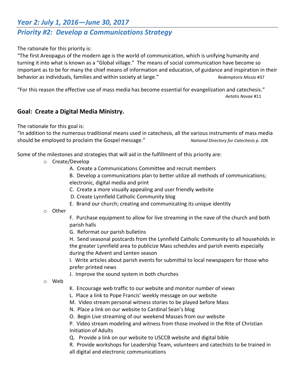# *Year 2: July 1, 2016—June 30, 2017*

# *Priority #2: Develop a Communications Strategy*

The rationale for this priority is:

"The first Areopagus of the modern age is the world of communication, which is unifying humanity and turning it into what is known as a "Global village." The means of social communication have become so important as to be for many the chief means of information and education, of guidance and inspiration in their behavior as individuals, families and within society at large." *Redemptoris Missio* #37

"For this reason the effective use of mass media has become essential for evangelization and catechesis." *Aetatis Novae* #11

#### **Goal: Create a Digital Media Ministry.**

The rationale for this goal is:

"In addition to the numerous traditional means used in catechesis, all the various instruments of mass media should be employed to proclaim the Gospel message." *National Directory for Catechesis p. 106*

Some of the milestones and strategies that will aid in the fulfillment of this priority are:

- o Create/Develop
	- A. Create a Communications Committee and recruit members
	- B. Develop a communications plan to better utilize all methods of communications; electronic, digital media and print
	- C. Create a more visually appealing and user friendly website
	- D. Create Lynnfield Catholic Community blog
	- E. Brand our church; creating and communicating its unique identity
- o Other

F. Purchase equipment to allow for live streaming in the nave of the church and both parish halls

G. Reformat our parish bulletins

H. Send seasonal postcards from the Lynnfield Catholic Community to all households in the greater Lynnfield area to publicize Mass schedules and parish events especially during the Advent and Lenten season

I. Write articles about parish events for submittal to local newspapers for those who prefer printed news

J. Improve the sound system in both churches

o Web

- K. Encourage web traffic to our website and monitor number of views
- L. Place a link to Pope Francis' weekly message on our website
- M. Video stream personal witness stories to be played before Mass
- N. Place a link on our website to Cardinal Sean's blog
- O. Begin Live streaming of our weekend Masses from our website

P. Video stream modeling and witness from those involved in the Rite of Christian Initiation of Adults

Q. Provide a link on our website to USCCB website and digital bible

R. Provide workshops for Leadership Team, volunteers and catechists to be trained in all digital and electronic communications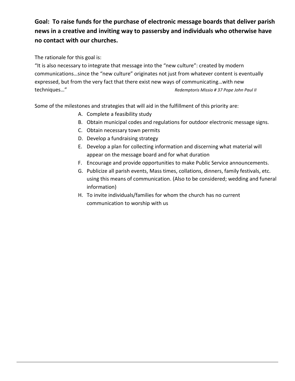# **Goal: To raise funds for the purchase of electronic message boards that deliver parish news in a creative and inviting way to passersby and individuals who otherwise have no contact with our churches.**

The rationale for this goal is:

"It is also necessary to integrate that message into the "new culture": created by modern communications…since the "new culture" originates not just from whatever content is eventually expressed, but from the very fact that there exist new ways of communicating…with new techniques…" *Redemptoris Missio # 37 Pope John Paul II* 

Some of the milestones and strategies that will aid in the fulfillment of this priority are:

- A. Complete a feasibility study
- B. Obtain municipal codes and regulations for outdoor electronic message signs.
- C. Obtain necessary town permits
- D. Develop a fundraising strategy
- E. Develop a plan for collecting information and discerning what material will appear on the message board and for what duration
- F. Encourage and provide opportunities to make Public Service announcements.
- G. Publicize all parish events, Mass times, collations, dinners, family festivals, etc. using this means of communication. (Also to be considered; wedding and funeral information)
- H. To invite individuals/families for whom the church has no current communication to worship with us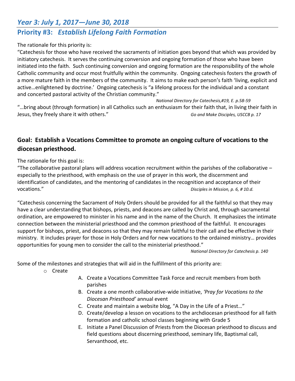## *Year 3: July 1, 2017—June 30, 2018*

# **Priority #3:** *Establish Lifelong Faith Formation*

#### The rationale for this priority is:

"Catechesis for those who have received the sacraments of initiation goes beyond that which was provided by initiatory catechesis. It serves the continuing conversion and ongoing formation of those who have been initiated into the faith. Such continuing conversion and ongoing formation are the responsibility of the whole Catholic community and occur most fruitfully within the community. Ongoing catechesis fosters the growth of a more mature faith in the members of the community. It aims to make each person's faith 'living, explicit and active…enlightened by doctrine.' Ongoing catechesis is "a lifelong process for the individual and a constant and concerted pastoral activity of the Christian community."

*National Directory for Catechesis,#19, E. p.58-59* "…bring about (through formation) in all Catholics such an enthusiasm for their faith that, in living their faith in Jesus, they freely share it with others." *Go and Make Disciples, USCCB p. 17*

### **Goal: Establish a Vocations Committee to promote an ongoing culture of vocations to the diocesan priesthood.**

The rationale for this goal is:

"The collaborative pastoral plans will address vocation recruitment within the parishes of the collaborative – especially to the priesthood, with emphasis on the use of prayer in this work, the discernment and identification of candidates, and the mentoring of candidates in the recognition and acceptance of their vocations." *Disciples in Mission, p. 6, # 10.d.*

"Catechesis concerning the Sacrament of Holy Orders should be provided for all the faithful so that they may have a clear understanding that bishops, priests, and deacons are called by Christ and, through sacramental ordination, are empowered to minister in his name and in the name of the Church. It emphasizes the intimate connection between the ministerial priesthood and the common priesthood of the faithful. It encourages support for bishops, priest, and deacons so that they may remain faithful to their call and be effective in their ministry. It includes prayer for those in Holy Orders and for new vocations to the ordained ministry… provides opportunities for young men to consider the call to the ministerial priesthood."

*National Directory for Catechesis p. 140*

Some of the milestones and strategies that will aid in the fulfillment of this priority are:

- o Create
- A. Create a Vocations Committee Task Force and recruit members from both parishes
- B. Create a one month collaborative-wide initiative, *'Pray for Vocations to the Diocesan Priesthood'* annual event
- C. Create and maintain a website blog, "A Day in the Life of a Priest…"
- D. Create/develop a lesson on vocations to the archdiocesan priesthood for all faith formation and catholic school classes beginning with Grade 5
- E. Initiate a Panel Discussion of Priests from the Diocesan priesthood to discuss and field questions about discerning priesthood, seminary life, Baptismal call, Servanthood, etc.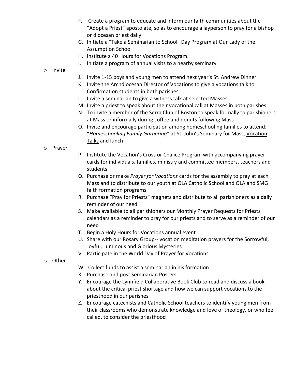- F. Create a program to educate and inform our faith communities about the "Adopt a Priest" apostolate, so as to encourage a layperson to pray for a bishop or diocesan priest daily
- G. Initiate a "Take a Seminarian to School" Day Program at Our Lady of the Assumption School
- H. Institute a 40 Hours for Vocations Program.
- I. Initiate a program of annual visits to a nearby seminary
- o Invite
- J. Invite 1-15 boys and young men to attend next year's St. Andrew Dinner
- K. Invite the Archdiocesan Director of Vocations to give a vocations talk to Confirmation students in both parishes
- L. Invite a seminarian to give a witness talk at selected Masses
- M. Invite a priest to speak about their vocational call at Masses in both parishes.
- N. To invite a member of the Serra Club of Boston to speak formally to parishioners at Mass or informally during coffee and donuts following Mass
- O. Invite and encourage participation among homeschooling families to attend; "*Homeschooling Family Gathering"* at St. John's Seminary for Mass, Vocation Talks and lunch
- o Prayer
- P. Institute the Vocation's Cross or Chalice Program with accompanying prayer cards for individuals, families, ministry and committee members, teachers and students
- Q. Purchase or make *Prayer for Vocations* cards for the assembly to pray at each Mass and to distribute to our youth at OLA Catholic School and OLA and SMG faith formation programs
- R. Purchase "Pray for Priests" magnets and distribute to all parishioners as a daily reminder of our need
- S. Make available to all parishioners our Monthly Prayer Requests for Priests calendars as a reminder to pray for our priests and to serve as a reminder of our need
- T. Begin a Holy Hours for Vocations annual event
- U. Share with our Rosary Group-- vocation meditation prayers for the Sorrowful, Joyful, Luminous and Glorious Mysteries
- V. Participate in the World Day of Prayer for Vocations
- o Other
- W. Collect funds to assist a seminarian in his formation
- X. Purchase and post Seminarian Posters
- Y. Encourage the Lynnfield Collaborative Book Club to read and discuss a book about the critical priest shortage and how we can support vocations to the priesthood in our parishes
- Z. Encourage catechists and Catholic School teachers to identify young men from their classrooms who demonstrate knowledge and love of theology, or who feel called, to consider the priesthood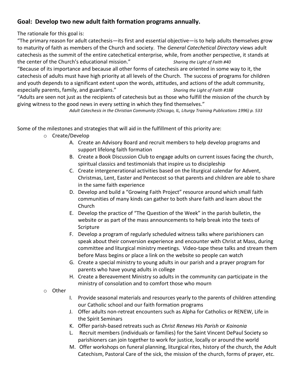### **Goal: Develop two new adult faith formation programs annually.**

The rationale for this goal is:

"The primary reason for adult catechesis—its first and essential objective—is to help adults themselves grow to maturity of faith as members of the Church and society. The *General Catechetical Directory* views adult catechesis as the summit of the entire catechetical enterprise, while, from another perspective, it stands at the center of the Church's educational mission." *Sharing the Light of Faith #40*

"Because of its importance and because all other forms of catechesis are oriented in some way to it, the catechesis of adults must have high priority at all levels of the Church. The success of programs for children and youth depends to a significant extent upon the words, attitudes, and actions of the adult community, especially parents, family, and guardians." *Sharing the Light of Faith #188*

"Adults are seen not just as the recipients of catechesis but as those who fulfill the mission of the church by giving witness to the good news in every setting in which they find themselves."

*Adult Catechesis in the Christian Community (Chicago, IL, Liturgy Training Publications 1996) p. 533*

Some of the milestones and strategies that will aid in the fulfillment of this priority are:

- o Create/Develop
	- A. Create an Advisory Board and recruit members to help develop programs and support lifelong faith formation
	- B. Create a Book Discussion Club to engage adults on current issues facing the church, spiritual classics and testimonials that inspire us to discipleship
	- C. Create intergenerational activities based on the liturgical calendar for Advent, Christmas, Lent, Easter and Pentecost so that parents and children are able to share in the same faith experience
	- D. Develop and build a "Growing Faith Project" resource around which small faith communities of many kinds can gather to both share faith and learn about the Church
	- E. Develop the practice of "The Question of the Week" in the parish bulletin, the website or as part of the mass announcements to help break into the texts of Scripture
	- F. Develop a program of regularly scheduled witness talks where parishioners can speak about their conversion experience and encounter with Christ at Mass, during committee and liturgical ministry meetings. Video-tape these talks and stream them before Mass begins or place a link on the website so people can watch
	- G. Create a special ministry to young adults in our parish and a prayer program for parents who have young adults in college
	- H. Create a Bereavement Ministry so adults in the community can participate in the ministry of consolation and to comfort those who mourn
- o Other
- I. Provide seasonal materials and resources yearly to the parents of children attending our Catholic school and our faith formation programs
- J. Offer adults non-retreat encounters such as Alpha for Catholics or RENEW, Life in the Spirit Seminars
- K. Offer parish-based retreats such as *Christ Renews His Parish* or *Koinonia*
- L. Recruit members (individuals or families) for the Saint Vincent DePaul Society so parishioners can join together to work for justice, locally or around the world
- M. Offer workshops on funeral planning, liturgical rites, history of the church, the Adult Catechism, Pastoral Care of the sick, the mission of the church, forms of prayer, etc.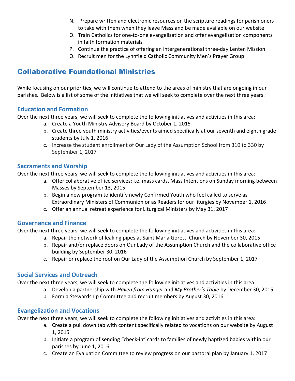- N. Prepare written and electronic resources on the scripture readings for parishioners to take with them when they leave Mass and be made available on our website
- O. Train Catholics for one-to-one evangelization and offer evangelization components in faith formation materials
- P. Continue the practice of offering an intergenerational three-day Lenten Mission
- Q. Recruit men for the Lynnfield Catholic Community Men's Prayer Group

# Collaborative Foundational Ministries

While focusing on our priorities, we will continue to attend to the areas of ministry that are ongoing in our parishes. Below is a list of some of the initiatives that we will seek to complete over the next three years.

#### **Education and Formation**

Over the next three years, we will seek to complete the following initiatives and activities in this area:

- a. Create a Youth Ministry Advisory Board by October 1, 2015
- b. Create three youth ministry activities/events aimed specifically at our seventh and eighth grade students by July 1, 2016
- c. Increase the student enrollment of Our Lady of the Assumption School from 310 to 330 by September 1, 2017

#### **Sacraments and Worship**

Over the next three years, we will seek to complete the following initiatives and activities in this area:

- a. Offer collaborative office services; i.e. mass cards, Mass Intentions on Sunday morning between Masses by September 13, 2015
- b. Begin a new program to identify newly Confirmed Youth who feel called to serve as Extraordinary Ministers of Communion or as Readers for our liturgies by November 1, 2016
- c. Offer an annual retreat experience for Liturgical Ministers by May 31, 2017

#### **Governance and Finance**

Over the next three years, we will seek to complete the following initiatives and activities in this area:

- a. Repair the network of leaking pipes at Saint Maria Goretti Church by November 30, 2015
- b. Repair and/or replace doors on Our Lady of the Assumption Church and the collaborative office building by September 30, 2016
- c. Repair or replace the roof on Our Lady of the Assumption Church by September 1, 2017

#### **Social Services and Outreach**

Over the next three years, we will seek to complete the following initiatives and activities in this area:

- a. Develop a partnership with *Haven from Hunger* and *My Brother's Table* by December 30, 2015
- b. Form a Stewardship Committee and recruit members by August 30, 2016

#### **Evangelization and Vocations**

Over the next three years, we will seek to complete the following initiatives and activities in this area:

- a. Create a pull down tab with content specifically related to vocations on our website by August 1, 2015
- b. Initiate a program of sending "check-in" cards to families of newly baptized babies within our parishes by June 1, 2016
- c. Create an Evaluation Committee to review progress on our pastoral plan by January 1, 2017